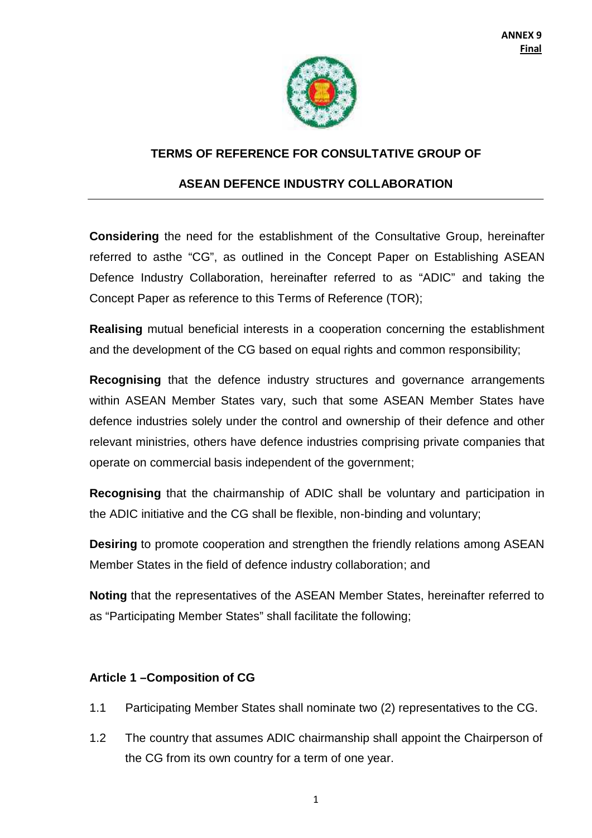

## **TERMS OF REFERENCE FOR CONSULTATIVE GROUP OF**

## **ASEAN DEFENCE INDUSTRY COLLABORATION**

**Considering** the need for the establishment of the Consultative Group, hereinafter referred to asthe "CG", as outlined in the Concept Paper on Establishing ASEAN Defence Industry Collaboration, hereinafter referred to as "ADIC" and taking the Concept Paper as reference to this Terms of Reference (TOR);

**Realising** mutual beneficial interests in a cooperation concerning the establishment and the development of the CG based on equal rights and common responsibility;

**Recognising** that the defence industry structures and governance arrangements within ASEAN Member States vary, such that some ASEAN Member States have defence industries solely under the control and ownership of their defence and other relevant ministries, others have defence industries comprising private companies that operate on commercial basis independent of the government;

**Recognising** that the chairmanship of ADIC shall be voluntary and participation in the ADIC initiative and the CG shall be flexible, non-binding and voluntary;

**Desiring** to promote cooperation and strengthen the friendly relations among ASEAN Member States in the field of defence industry collaboration; and

**Noting** that the representatives of the ASEAN Member States, hereinafter referred to as "Participating Member States" shall facilitate the following;

#### **Article 1 –Composition of CG**

- 1.1 Participating Member States shall nominate two (2) representatives to the CG.
- 1.2 The country that assumes ADIC chairmanship shall appoint the Chairperson of the CG from its own country for a term of one year.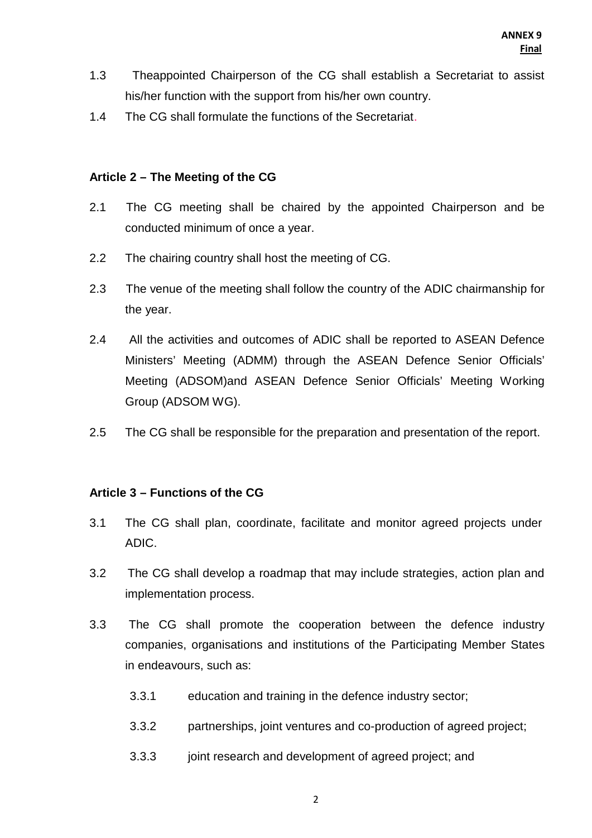- 1.3 Theappointed Chairperson of the CG shall establish a Secretariat to assist his/her function with the support from his/her own country.
- 1.4 The CG shall formulate the functions of the Secretariat.

#### **Article 2 – The Meeting of the CG**

- 2.1 The CG meeting shall be chaired by the appointed Chairperson and be conducted minimum of once a year.
- 2.2 The chairing country shall host the meeting of CG.
- 2.3 The venue of the meeting shall follow the country of the ADIC chairmanship for the year.
- 2.4 All the activities and outcomes of ADIC shall be reported to ASEAN Defence Ministers' Meeting (ADMM) through the ASEAN Defence Senior Officials' Meeting (ADSOM)and ASEAN Defence Senior Officials' Meeting Working Group (ADSOM WG).
- 2.5 The CG shall be responsible for the preparation and presentation of the report.

# **Article 3 – Functions of the CG**

- 3.1 The CG shall plan, coordinate, facilitate and monitor agreed projects under ADIC.
- 3.2 The CG shall develop a roadmap that may include strategies, action plan and implementation process.
- 3.3 The CG shall promote the cooperation between the defence industry companies, organisations and institutions of the Participating Member States in endeavours, such as:
	- 3.3.1 education and training in the defence industry sector;
	- 3.3.2 partnerships, joint ventures and co-production of agreed project;
	- 3.3.3 joint research and development of agreed project; and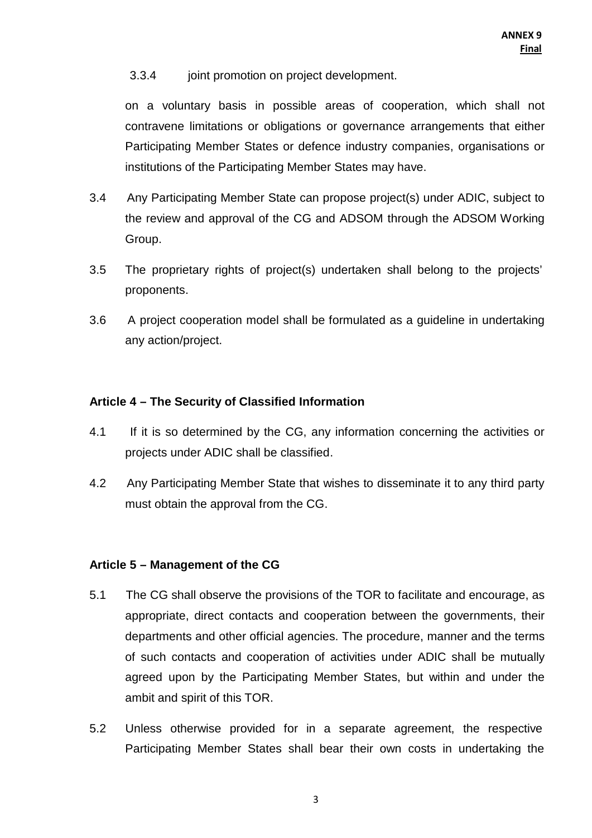### 3.3.4 joint promotion on project development.

on a voluntary basis in possible areas of cooperation, which shall not contravene limitations or obligations or governance arrangements that either Participating Member States or defence industry companies, organisations or institutions of the Participating Member States may have.

- 3.4 Any Participating Member State can propose project(s) under ADIC, subject to the review and approval of the CG and ADSOM through the ADSOM Working Group.
- 3.5 The proprietary rights of project(s) undertaken shall belong to the projects' proponents.
- 3.6 A project cooperation model shall be formulated as a guideline in undertaking any action/project.

### **Article 4 – The Security of Classified Information**

- 4.1 If it is so determined by the CG, any information concerning the activities or projects under ADIC shall be classified.
- 4.2 Any Participating Member State that wishes to disseminate it to any third party must obtain the approval from the CG.

# **Article 5 – Management of the CG**

- 5.1 The CG shall observe the provisions of the TOR to facilitate and encourage, as appropriate, direct contacts and cooperation between the governments, their departments and other official agencies. The procedure, manner and the terms of such contacts and cooperation of activities under ADIC shall be mutually agreed upon by the Participating Member States, but within and under the ambit and spirit of this TOR.
- 5.2 Unless otherwise provided for in a separate agreement, the respective Participating Member States shall bear their own costs in undertaking the